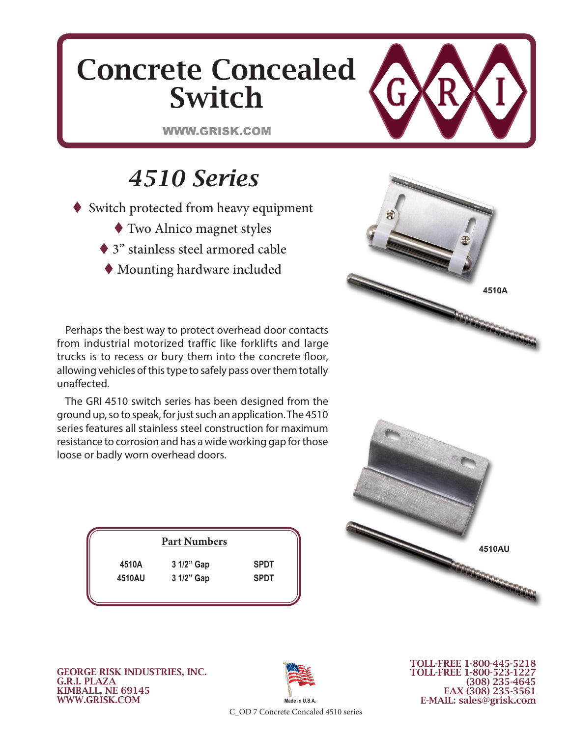## Concrete Concealed Switch

WWW.GRISK.COM

## *4510 Series*

- ◆ Switch protected from heavy equipment
	- Two Alnico magnet styles
	- ◆ 3" stainless steel armored cable
	- Mounting hardware included

Perhaps the best way to protect overhead door contacts from industrial motorized traffic like forklifts and large trucks is to recess or bury them into the concrete floor, allowing vehicles of this type to safely pass over them totally unaffected.

The GRI 4510 switch series has been designed from the ground up, so to speak, for just such an application. The 4510 series features all stainless steel construction for maximum resistance to corrosion and has a wide working gap for those loose or badly worn overhead doors.

| <b>Part Numbers</b> |            |             |  |  |  |  |  |
|---------------------|------------|-------------|--|--|--|--|--|
| 4510A               | 3 1/2" Gap | <b>SPDT</b> |  |  |  |  |  |
| 4510AU              | 3 1/2" Gap | <b>SPDT</b> |  |  |  |  |  |
|                     |            |             |  |  |  |  |  |





GEORGE RISK INDUSTRIES, INC. G.R.I. PLAZA KIMBALL, NE 69145 WWW.GRISK.COM



TOLL-FREE 1-800-445-5218 TOLL-FREE 1-800-523-1227 (308) 235-4645 FAX (308) 235-3561 E-MAIL: sales@grisk.com

C\_OD 7 Concrete Concaled 4510 series